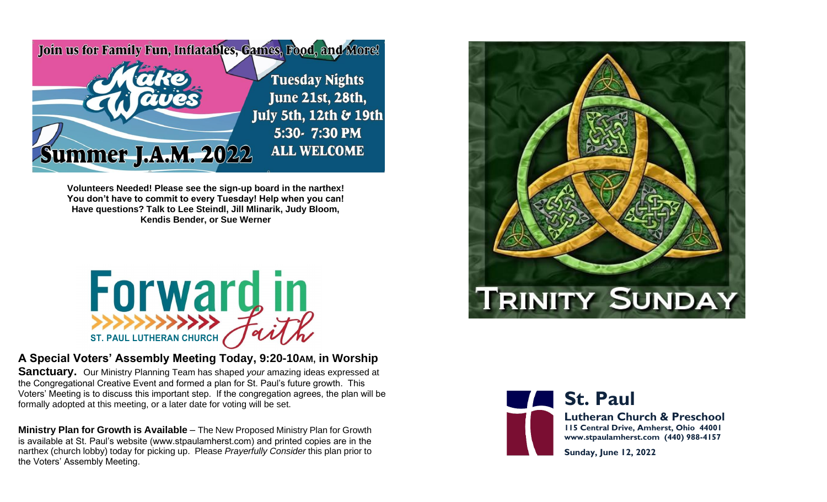

**Volunteers Needed! Please see the sign-up board in the narthex! You don't have to commit to every Tuesday! Help when you can! Have questions? Talk to Lee Steindl, Jill Mlinarik, Judy Bloom, Kendis Bender, or Sue Werner**



### **A Special Voters' Assembly Meeting Today, 9:20-10AM, in Worship**

**Sanctuary.** Our Ministry Planning Team has shaped *your* amazing ideas expressed at the Congregational Creative Event and formed a plan for St. Paul's future growth. This Voters' Meeting is to discuss this important step. If the congregation agrees, the plan will be formally adopted at this meeting, or a later date for voting will be set.

**Ministry Plan for Growth is Available** – The New Proposed Ministry Plan for Growth is available at St. Paul's website (www.stpaulamherst.com) and printed copies are in the narthex (church lobby) today for picking up. Please *Prayerfully Consider* this plan prior to the Voters' Assembly Meeting.





### **St. Paul Lutheran Church & Preschool 115 Central Drive, Amherst, Ohio 44001 www.stpaulamherst.com (440) 988-4157**

**Sunday, June 12, 2022**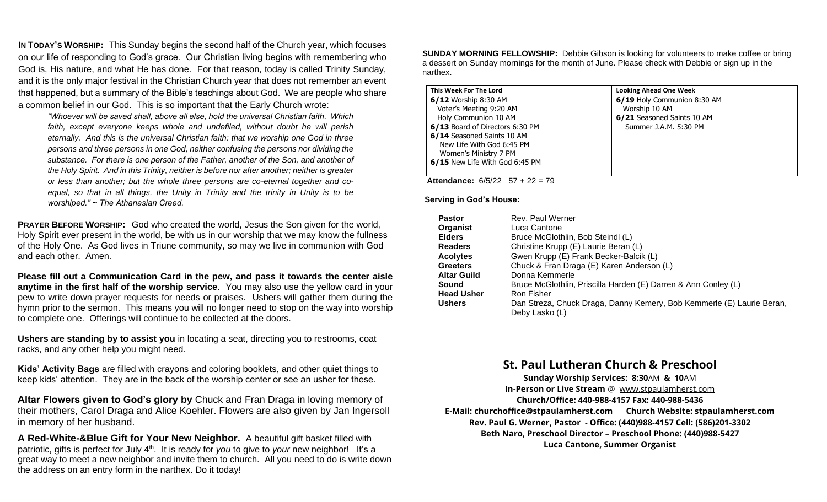**IN TODAY'S WORSHIP:** This Sunday begins the second half of the Church year, which focuses on our life of responding to God's grace. Our Christian living begins with remembering who God is, His nature, and what He has done. For that reason, today is called Trinity Sunday, and it is the only major festival in the Christian Church year that does not remember an event that happened, but a summary of the Bible's teachings about God. We are people who share a common belief in our God. This is so important that the Early Church wrote:

*"Whoever will be saved shall, above all else, hold the universal Christian faith. Which faith, except everyone keeps whole and undefiled, without doubt he will perish eternally. And this is the universal Christian faith: that we worship one God in three persons and three persons in one God, neither confusing the persons nor dividing the substance. For there is one person of the Father, another of the Son, and another of the Holy Spirit. And in this Trinity, neither is before nor after another; neither is greater or less than another; but the whole three persons are co-eternal together and coequal, so that in all things, the Unity in Trinity and the trinity in Unity is to be worshiped." ~ The Athanasian Creed.*

**PRAYER BEFORE WORSHIP:** God who created the world, Jesus the Son given for the world, Holy Spirit ever present in the world, be with us in our worship that we may know the fullness of the Holy One. As God lives in Triune community, so may we live in communion with God and each other. Amen.

**Please fill out a Communication Card in the pew, and pass it towards the center aisle anytime in the first half of the worship service**. You may also use the yellow card in your pew to write down prayer requests for needs or praises. Ushers will gather them during the hymn prior to the sermon. This means you will no longer need to stop on the way into worship to complete one. Offerings will continue to be collected at the doors.

**Ushers are standing by to assist you** in locating a seat, directing you to restrooms, coat racks, and any other help you might need.

**Kids' Activity Bags** are filled with crayons and coloring booklets, and other quiet things to keep kids' attention. They are in the back of the worship center or see an usher for these.

**Altar Flowers given to God's glory by** Chuck and Fran Draga in loving memory of their mothers, Carol Draga and Alice Koehler. Flowers are also given by Jan Ingersoll in memory of her husband.

**A Red-White-&Blue Gift for Your New Neighbor.**A beautiful gift basket filled with patriotic, gifts is perfect for July 4th. It is ready for *you* to give to *your* new neighbor! It's a great way to meet a new neighbor and invite them to church. All you need to do is write down the address on an entry form in the narthex. Do it today!

**SUNDAY MORNING FELLOWSHIP:** Debbie Gibson is looking for volunteers to make coffee or bring a dessert on Sunday mornings for the month of June. Please check with Debbie or sign up in the narthex.

| This Week For The Lord          | <b>Looking Ahead One Week</b> |
|---------------------------------|-------------------------------|
| 6/12 Worship 8:30 AM            | 6/19 Holy Communion 8:30 AM   |
| Voter's Meeting 9:20 AM         | Worship 10 AM                 |
| Holy Communion 10 AM            | 6/21 Seasoned Saints 10 AM    |
| 6/13 Board of Directors 6:30 PM | Summer J.A.M. 5:30 PM         |
| 6/14 Seasoned Saints 10 AM      |                               |
| New Life With God 6:45 PM       |                               |
| Women's Ministry 7 PM           |                               |
| 6/15 New Life With God 6:45 PM  |                               |
|                                 |                               |

 **Attendance:** 6/5/2257 + 22 = 79

**Serving in God's House:**

| <b>Pastor</b>     | Rev. Paul Werner                                                      |
|-------------------|-----------------------------------------------------------------------|
| Organist          | Luca Cantone                                                          |
| <b>Elders</b>     | Bruce McGlothlin, Bob Steindl (L)                                     |
| <b>Readers</b>    | Christine Krupp (E) Laurie Beran (L)                                  |
| <b>Acolytes</b>   | Gwen Krupp (E) Frank Becker-Balcik (L)                                |
| <b>Greeters</b>   | Chuck & Fran Draga (E) Karen Anderson (L)                             |
| Altar Guild       | Donna Kemmerle                                                        |
| Sound             | Bruce McGlothlin, Priscilla Harden (E) Darren & Ann Conley (L)        |
| <b>Head Usher</b> | Ron Fisher                                                            |
| <b>Ushers</b>     | Dan Streza, Chuck Draga, Danny Kemery, Bob Kemmerle (E) Laurie Beran, |
|                   | Deby Lasko (L)                                                        |

#### **St. Paul Lutheran Church & Preschool**

**Sunday Worship Services: 8:30**AM **& 10**AM **In-Person or Live Stream** @ [www.stpaulamherst.com](http://www.stpaulamherst.com/) **Church/Office: 440-988-4157 Fax: 440-988-5436 E-Mail: churchoffice@stpaulamherst.com Church Website: stpaulamherst.com Rev. Paul G. Werner, Pastor - Office: (440)988-4157 Cell: (586)201-3302 Beth Naro, Preschool Director – Preschool Phone: (440)988-5427 Luca Cantone, Summer Organist**